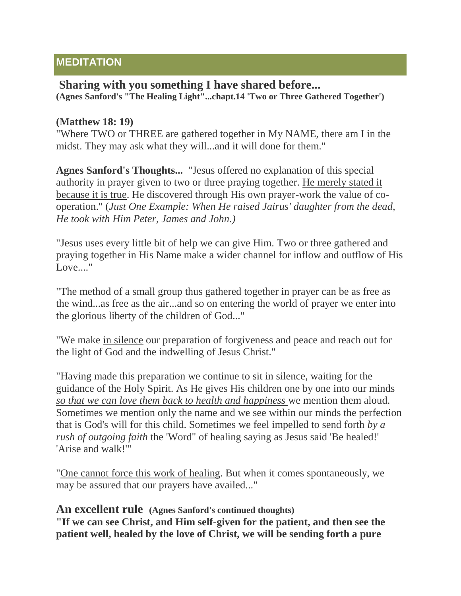## **MEDITATION**

## **Sharing with you something I have shared before... (Agnes Sanford's "The Healing Light"...chapt.14 'Two or Three Gathered Together')**

## **(Matthew 18: 19)**

"Where TWO or THREE are gathered together in My NAME, there am I in the midst. They may ask what they will...and it will done for them."

**Agnes Sanford's Thoughts...** "Jesus offered no explanation of this special authority in prayer given to two or three praying together. He merely stated it because it is true. He discovered through His own prayer-work the value of cooperation." (*Just One Example: When He raised Jairus' daughter from the dead, He took with Him Peter, James and John.)*

"Jesus uses every little bit of help we can give Him. Two or three gathered and praying together in His Name make a wider channel for inflow and outflow of His Love...."

"The method of a small group thus gathered together in prayer can be as free as the wind...as free as the air...and so on entering the world of prayer we enter into the glorious liberty of the children of God..."

"We make in silence our preparation of forgiveness and peace and reach out for the light of God and the indwelling of Jesus Christ."

"Having made this preparation we continue to sit in silence, waiting for the guidance of the Holy Spirit. As He gives His children one by one into our minds *so that we can love them back to health and happiness* we mention them aloud. Sometimes we mention only the name and we see within our minds the perfection that is God's will for this child. Sometimes we feel impelled to send forth *by a rush of outgoing faith* the 'Word" of healing saying as Jesus said 'Be healed!' 'Arise and walk!'"

"One cannot force this work of healing. But when it comes spontaneously, we may be assured that our prayers have availed..."

## **An excellent rule (Agnes Sanford's continued thoughts)**

**"If we can see Christ, and Him self-given for the patient, and then see the patient well, healed by the love of Christ, we will be sending forth a pure**